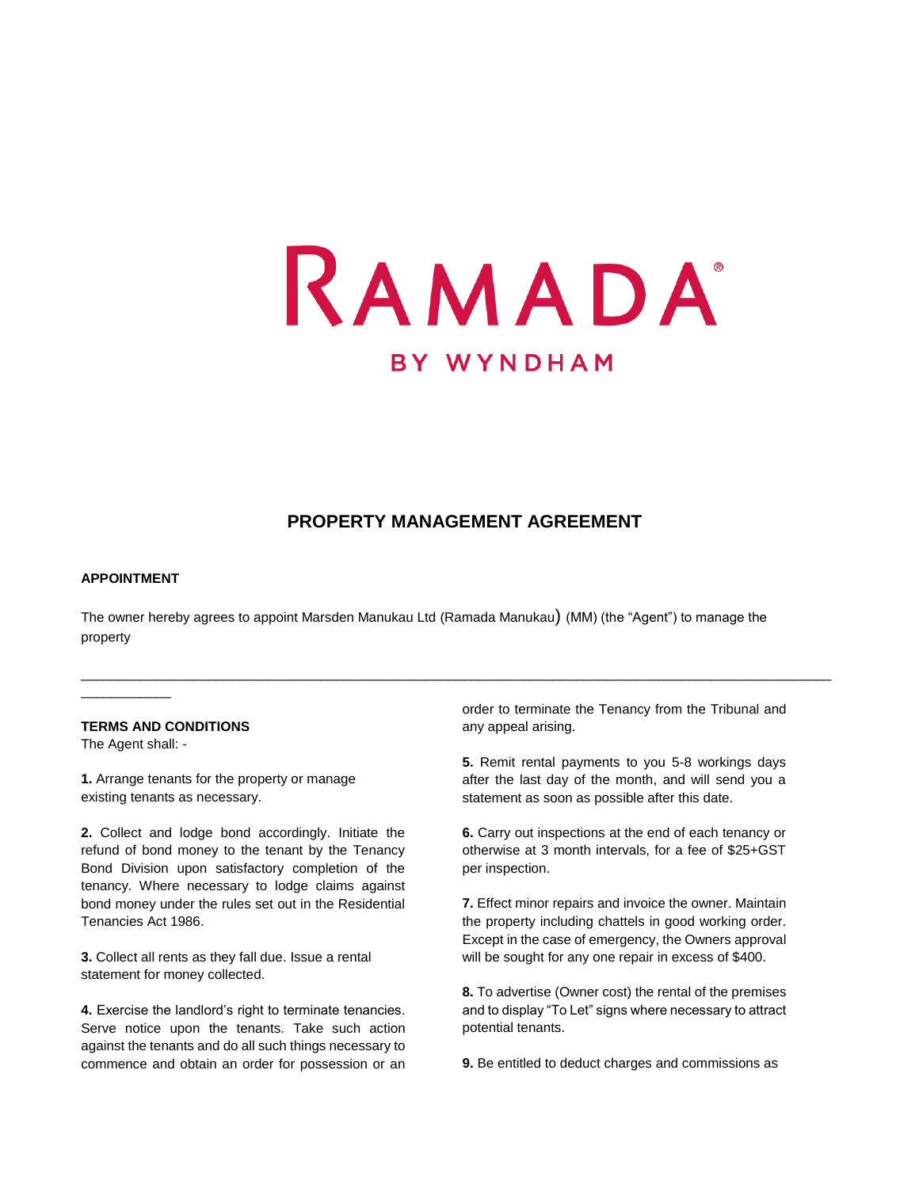

## **PROPERTY MANAGEMENT AGREEMENT**

\_\_\_\_\_\_\_\_\_\_\_\_\_\_\_\_\_\_\_\_\_\_\_\_\_\_\_\_\_\_\_\_\_\_\_\_\_\_\_\_\_\_\_\_\_\_\_\_\_\_\_\_\_\_\_\_\_\_\_\_\_\_\_\_\_\_\_\_\_\_\_\_\_\_\_\_\_\_\_\_\_\_\_\_\_\_\_\_\_\_\_\_\_\_\_\_\_\_\_\_

#### **APPOINTMENT**

The owner hereby agrees to appoint Marsden Manukau Ltd (Ramada Manukau) (MM) (the "Agent") to manage the property

### **TERMS AND CONDITIONS**

The Agent shall: -

\_\_\_\_\_\_\_\_\_\_\_\_

**1.** Arrange tenants for the property or manage existing tenants as necessary.

**2.** Collect and lodge bond accordingly. Initiate the refund of bond money to the tenant by the Tenancy Bond Division upon satisfactory completion of the tenancy. Where necessary to lodge claims against bond money under the rules set out in the Residential Tenancies Act 1986.

**3.** Collect all rents as they fall due. Issue a rental statement for money collected.

**4.** Exercise the landlord's right to terminate tenancies. Serve notice upon the tenants. Take such action against the tenants and do all such things necessary to commence and obtain an order for possession or an

order to terminate the Tenancy from the Tribunal and any appeal arising.

**5.** Remit rental payments to you 5-8 workings days after the last day of the month, and will send you a statement as soon as possible after this date.

**6.** Carry out inspections at the end of each tenancy or otherwise at 3 month intervals, for a fee of \$25+GST per inspection.

**7.** Effect minor repairs and invoice the owner. Maintain the property including chattels in good working order. Except in the case of emergency, the Owners approval will be sought for any one repair in excess of \$400.

**8.** To advertise (Owner cost) the rental of the premises and to display "To Let" signs where necessary to attract potential tenants.

**9.** Be entitled to deduct charges and commissions as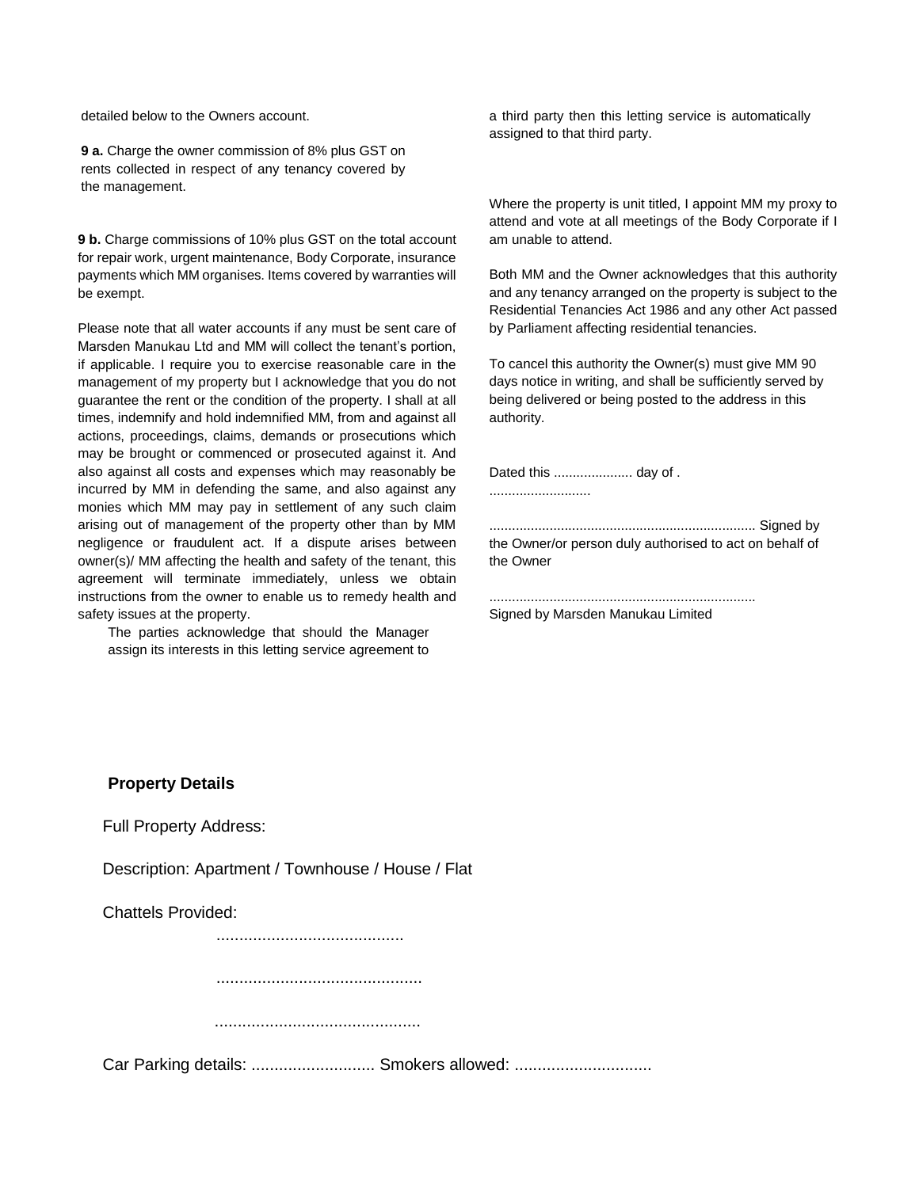detailed below to the Owners account.

**9 a.** Charge the owner commission of 8% plus GST on rents collected in respect of any tenancy covered by the management.

**9 b.** Charge commissions of 10% plus GST on the total account for repair work, urgent maintenance, Body Corporate, insurance payments which MM organises. Items covered by warranties will be exempt.

Please note that all water accounts if any must be sent care of Marsden Manukau Ltd and MM will collect the tenant's portion, if applicable. I require you to exercise reasonable care in the management of my property but I acknowledge that you do not guarantee the rent or the condition of the property. I shall at all times, indemnify and hold indemnified MM, from and against all actions, proceedings, claims, demands or prosecutions which may be brought or commenced or prosecuted against it. And also against all costs and expenses which may reasonably be incurred by MM in defending the same, and also against any monies which MM may pay in settlement of any such claim arising out of management of the property other than by MM negligence or fraudulent act. If a dispute arises between owner(s)/ MM affecting the health and safety of the tenant, this agreement will terminate immediately, unless we obtain instructions from the owner to enable us to remedy health and safety issues at the property.

The parties acknowledge that should the Manager assign its interests in this letting service agreement to

a third party then this letting service is automatically assigned to that third party.

Where the property is unit titled, I appoint MM my proxy to attend and vote at all meetings of the Body Corporate if I am unable to attend.

Both MM and the Owner acknowledges that this authority and any tenancy arranged on the property is subject to the Residential Tenancies Act 1986 and any other Act passed by Parliament affecting residential tenancies.

To cancel this authority the Owner(s) must give MM 90 days notice in writing, and shall be sufficiently served by being delivered or being posted to the address in this authority.

Dated this ..................... day of .

...........................

....................................................................... Signed by the Owner/or person duly authorised to act on behalf of the Owner

Signed by Marsden Manukau Limited

.......................................................................

### **Property Details**

Full Property Address:

Description: Apartment / Townhouse / House / Flat

Chattels Provided:

.........................................

.............................................

.............................................

Car Parking details: ............................ Smokers allowed: ................................